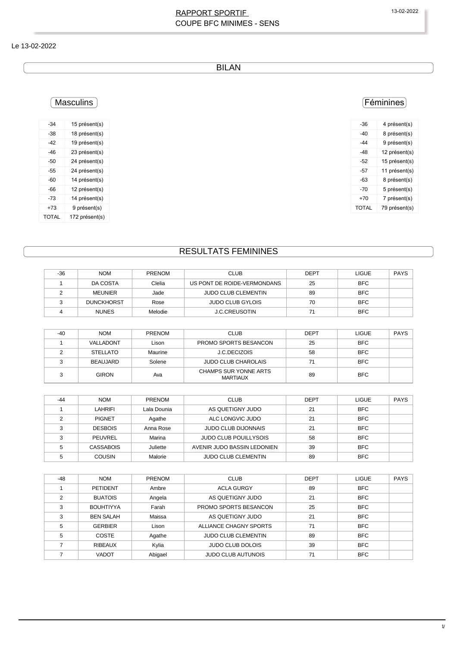### RAPPORT SPORTIF 13-02-2022 COUPE BFC MINIMES - SENS

#### Le 13-02-2022

BILAN

## Masculins

| $-34$        | 15 présent(s)  |
|--------------|----------------|
| -38          | 18 présent(s)  |
| -42          | 19 présent(s)  |
| -46          | 23 présent(s)  |
| -50          | 24 présent(s)  |
| -55          | 24 présent(s)  |
| -60          | 14 présent(s)  |
| -66          | 12 présent(s)  |
| -73          | 14 présent(s)  |
| +73          | 9 présent(s)   |
| <b>TOTAL</b> | 172 présent(s) |

# Féminines

| -36   | 4 présent(s)  |
|-------|---------------|
| -40   | 8 présent(s)  |
| $-44$ | 9 présent(s)  |
| -48   | 12 présent(s) |
| -52   | 15 présent(s) |
| -57   | 11 présent(s) |
| -63   | 8 présent(s)  |
| -70   | 5 présent(s)  |
| +70   | 7 présent(s)  |
| TOTAL | 79 présent(s) |
|       |               |

# RESULTATS FEMININES

| $-36$ | <b>NOM</b>        | <b>PRENOM</b> | <b>CLUB</b>                 | <b>DEPT</b> | <b>LIGUE</b> | <b>PAYS</b> |
|-------|-------------------|---------------|-----------------------------|-------------|--------------|-------------|
|       | DA COSTA          | Clelia        | US PONT DE ROIDE-VERMONDANS | 25          | <b>BFC</b>   |             |
|       | <b>MEUNIER</b>    | Jade          | <b>JUDO CLUB CLEMENTIN</b>  | 89          | <b>BFC</b>   |             |
|       | <b>DUNCKHORST</b> | Rose          | <b>JUDO CLUB GYLOIS</b>     | 70          | <b>BFC</b>   |             |
|       | <b>NUNES</b>      | Melodie       | <b>J.C.CREUSOTIN</b>        | 71          | <b>BFC</b>   |             |

| $-40$ | <b>NOM</b> | <b>PRENOM</b> | <b>CLUB</b>                              | <b>DEPT</b> | <b>LIGUE</b> | <b>PAYS</b> |
|-------|------------|---------------|------------------------------------------|-------------|--------------|-------------|
|       | VALLADONT  | Lison         | PROMO SPORTS BESANCON                    | 25          | <b>BFC</b>   |             |
|       | STELLATO   | Maurine       | J.C.DECIZOIS                             | 58          | <b>BFC</b>   |             |
|       | BEAUJARD   | Solene        | <b>JUDO CLUB CHAROLAIS</b>               |             | <b>BFC</b>   |             |
|       | GIRON      | Ava           | CHAMPS SUR YONNE ARTS<br><b>MARTIAUX</b> | 89          | <b>BFC</b>   |             |

| $-44$ | <b>NOM</b>     | <b>PRENOM</b> | <b>CLUB</b>                  | <b>DEPT</b> | <b>LIGUE</b> | <b>PAYS</b> |
|-------|----------------|---------------|------------------------------|-------------|--------------|-------------|
|       | LAHRIFI        | Lala Dounia   | AS QUETIGNY JUDO             | 21          | <b>BFC</b>   |             |
|       | <b>PIGNET</b>  | Agathe        | ALC LONGVIC JUDO             | 21          | <b>BFC</b>   |             |
|       | <b>DESBOIS</b> | Anna Rose     | <b>JUDO CLUB DIJONNAIS</b>   | 21          | <b>BFC</b>   |             |
|       | <b>PEUVREL</b> | Marina        | <b>JUDO CLUB POUILLYSOIS</b> | 58          | <b>BFC</b>   |             |
|       | CASSABOIS      | Juliette      | AVENIR JUDO BASSIN LEDONIEN  | 39          | <b>BFC</b>   |             |
|       | <b>COUSIN</b>  | Malorie       | <b>JUDO CLUB CLEMENTIN</b>   | 89          | <b>BFC</b>   |             |

| $-48$ | <b>NOM</b>       | <b>PRENOM</b> | <b>CLUB</b>                | <b>DEPT</b> | <b>LIGUE</b> | <b>PAYS</b> |
|-------|------------------|---------------|----------------------------|-------------|--------------|-------------|
|       | <b>PETIDENT</b>  | Ambre         | <b>ACLA GURGY</b>          | 89          | <b>BFC</b>   |             |
| C     | <b>BUATOIS</b>   | Angela        | AS QUETIGNY JUDO           | 21          | <b>BFC</b>   |             |
| 3     | <b>BOUHTIYYA</b> | Farah         | PROMO SPORTS BESANCON      | 25          | <b>BFC</b>   |             |
| 3     | <b>BEN SALAH</b> | Maissa        | AS QUETIGNY JUDO           | 21          | <b>BFC</b>   |             |
| 5     | <b>GERBIER</b>   | Lison         | ALLIANCE CHAGNY SPORTS     | 71          | <b>BFC</b>   |             |
| 5     | <b>COSTE</b>     | Agathe        | <b>JUDO CLUB CLEMENTIN</b> | 89          | <b>BFC</b>   |             |
|       | <b>RIBEAUX</b>   | Kylia         | <b>JUDO CLUB DOLOIS</b>    | 39          | <b>BFC</b>   |             |
|       | <b>VADOT</b>     | Abigael       | <b>JUDO CLUB AUTUNOIS</b>  | 71          | <b>BFC</b>   |             |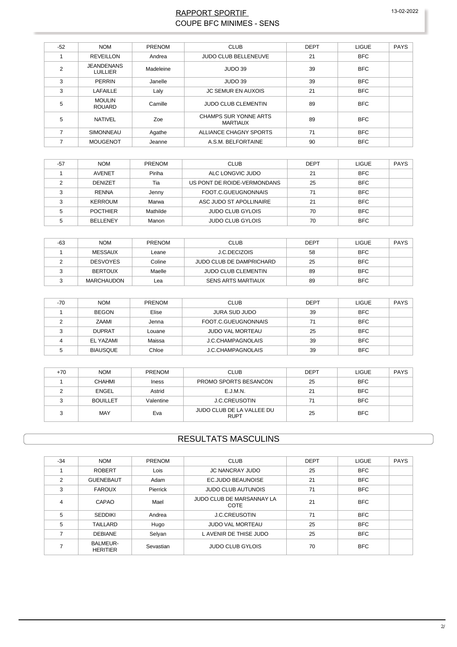### RAPPORT SPORTIF **COUPE BFC MINIMES - SENS**

| $-52$ | <b>NOM</b>                           | <b>PRENOM</b> | <b>CLUB</b>                                     | <b>DEPT</b> | <b>LIGUE</b> | <b>PAYS</b> |
|-------|--------------------------------------|---------------|-------------------------------------------------|-------------|--------------|-------------|
|       | <b>REVEILLON</b>                     | Andrea        | JUDO CLUB BELLENEUVE                            | 21          | <b>BFC</b>   |             |
| 2     | <b>JEANDENANS</b><br><b>LUILLIER</b> | Madeleine     | JUDO 39                                         | 39          | <b>BFC</b>   |             |
| 3     | PERRIN                               | Janelle       | JUDO 39                                         | 39          | <b>BFC</b>   |             |
| 3     | LAFAILLE                             | Laly          | <b>JC SEMUR EN AUXOIS</b>                       | 21          | <b>BFC</b>   |             |
| 5     | <b>MOULIN</b><br><b>ROUARD</b>       | Camille       | <b>JUDO CLUB CLEMENTIN</b>                      | 89          | <b>BFC</b>   |             |
| 5     | <b>NATIVEL</b>                       | Zoe           | <b>CHAMPS SUR YONNE ARTS</b><br><b>MARTIAUX</b> | 89          | <b>BFC</b>   |             |
| 7     | SIMONNEAU                            | Agathe        | ALLIANCE CHAGNY SPORTS                          | 71          | <b>BFC</b>   |             |
| ⇁     | <b>MOUGENOT</b>                      | Jeanne        | A.S.M. BELFORTAINE                              | 90          | <b>BFC</b>   |             |

| -57 | <b>NOM</b>      | <b>PRENOM</b> | <b>CLUB</b>                 | DEPT | <b>LIGUE</b> | PAYS |
|-----|-----------------|---------------|-----------------------------|------|--------------|------|
|     | <b>AVENET</b>   | Piriha        | ALC LONGVIC JUDO            | 21   | <b>BFC</b>   |      |
|     | <b>DENIZET</b>  | Tia           | US PONT DE ROIDE-VERMONDANS | 25   | <b>BFC</b>   |      |
|     | <b>RENNA</b>    | Jenny         | FOOT C GUEUGNONNAIS         | 71   | <b>BFC</b>   |      |
|     | KERROUM         | Marwa         | ASC JUDO ST APOLLINAIRE     | 21   | <b>BFC</b>   |      |
|     | <b>POCTHIER</b> | Mathilde      | <b>JUDO CLUB GYLOIS</b>     | 70   | <b>BFC</b>   |      |
|     | <b>BELLENEY</b> | Manon         | <b>JUDO CLUB GYLOIS</b>     | 70   | <b>BFC</b>   |      |

| -63 | <b>NOM</b>        | <b>PRENOM</b> | <b>CLUB</b>                | DEPT | <b>LIGUE</b> | PAYS |
|-----|-------------------|---------------|----------------------------|------|--------------|------|
|     | MESSAUX           | Leane         | J.C.DECIZOIS               | 58   | <b>BFC</b>   |      |
|     | <b>DESVOYES</b>   | Coline        | JUDO CLUB DE DAMPRICHARD   | 25   | <b>BFC</b>   |      |
|     | <b>BERTOUX</b>    | Maelle        | <b>JUDO CLUB CLEMENTIN</b> | 89   | <b>BFC</b>   |      |
|     | <b>MARCHAUDON</b> | Lea           | <b>SENS ARTS MARTIAUX</b>  | 89   | <b>BFC</b>   |      |

| $-70$ | <b>NOM</b>      | <b>PRENOM</b> | <b>CLUB</b>              | <b>DEPT</b> | <b>LIGUE</b> | PAYS |
|-------|-----------------|---------------|--------------------------|-------------|--------------|------|
|       | <b>BEGON</b>    | Elise         | <b>JURA SUD JUDO</b>     | 39          | <b>BFC</b>   |      |
|       | ZAAMI           | Jenna         | FOOT.C.GUEUGNONNAIS      | 71          | <b>BFC</b>   |      |
| ົ     | <b>DUPRAT</b>   | Louane        | <b>JUDO VAL MORTEAU</b>  | 25          | <b>BFC</b>   |      |
|       | EL YAZAMI       | Maissa        | <b>J.C.CHAMPAGNOLAIS</b> | 39          | <b>BFC</b>   |      |
|       | <b>BIAUSQUE</b> | Chloe         | <b>J.C.CHAMPAGNOLAIS</b> | 39          | <b>BFC</b>   |      |

| +70 | <b>NOM</b>      | <b>PRENOM</b> | <b>CLUB</b>                              | <b>DEPT</b> | <b>LIGUE</b> | <b>PAYS</b> |
|-----|-----------------|---------------|------------------------------------------|-------------|--------------|-------------|
|     | <b>CHAHMI</b>   | Iness         | PROMO SPORTS BESANCON                    | 25          | <b>BFC</b>   |             |
|     | <b>ENGEL</b>    | Astrid        | E.J.M.N.                                 | 21          | <b>BFC</b>   |             |
|     | <b>BOUILLET</b> | Valentine     | <b>J.C.CREUSOTIN</b>                     | 71          | <b>BFC</b>   |             |
|     | <b>MAY</b>      | Eva           | JUDO CLUB DE LA VALLEE DU<br><b>RUPT</b> | 25          | <b>BFC</b>   |             |

### **RESULTATS MASCULINS**

| $-34$          | <b>NOM</b>                         | <b>PRENOM</b> | <b>CLUB</b>                       | <b>DEPT</b> | <b>LIGUE</b> | <b>PAYS</b> |
|----------------|------------------------------------|---------------|-----------------------------------|-------------|--------------|-------------|
|                | <b>ROBERT</b>                      | Lois          | <b>JC NANCRAY JUDO</b>            | 25          | <b>BFC</b>   |             |
| $\overline{2}$ | <b>GUENEBAUT</b>                   | Adam          | <b>EC.JUDO BEAUNOISE</b>          | 21          | <b>BFC</b>   |             |
| 3              | <b>FAROUX</b>                      | Pierrick      | <b>JUDO CLUB AUTUNOIS</b>         | 71          | <b>BFC</b>   |             |
| $\overline{4}$ | CAPAO                              | Mael          | JUDO CLUB DE MARSANNAY LA<br>COTE | 21          | <b>BFC</b>   |             |
| 5              | <b>SEDDIKI</b>                     | Andrea        | <b>J.C.CREUSOTIN</b>              | 71          | <b>BFC</b>   |             |
| 5              | <b>TAILLARD</b>                    | Hugo          | <b>JUDO VAL MORTEAU</b>           | 25          | <b>BFC</b>   |             |
|                | <b>DEBIANE</b>                     | Selyan        | L AVENIR DE THISE JUDO            | 25          | <b>BFC</b>   |             |
|                | <b>BALMEUR-</b><br><b>HERITIER</b> | Sevastian     | <b>JUDO CLUB GYLOIS</b>           | 70          | <b>BFC</b>   |             |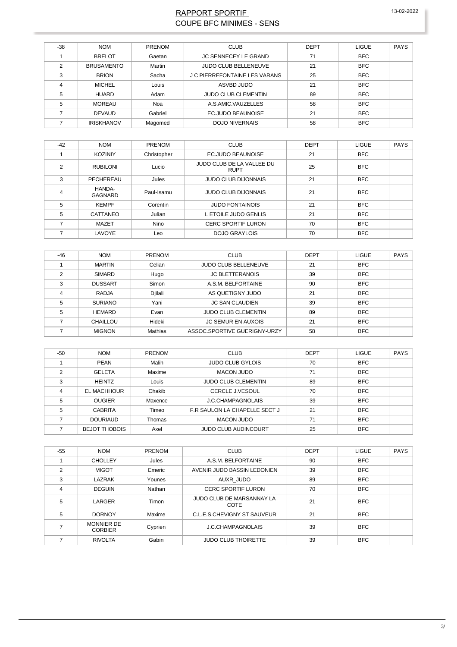### RAPPORT SPORTIF 13-02-2022 COUPE BFC MINIMES - SENS

| $-38$ | <b>NOM</b>        | <b>PRENOM</b> | <b>CLUB</b>                   | <b>DEPT</b> | <b>LIGUE</b> | <b>PAYS</b> |
|-------|-------------------|---------------|-------------------------------|-------------|--------------|-------------|
|       | <b>BRELOT</b>     | Gaetan        | <b>JC SENNECEY LE GRAND</b>   | 71          | <b>BFC</b>   |             |
| C     | <b>BRUSAMENTO</b> | Martin        | <b>JUDO CLUB BELLENEUVE</b>   | 21          | <b>BFC</b>   |             |
| 3     | <b>BRION</b>      | Sacha         | J C PIERREFONTAINE LES VARANS | 25          | <b>BFC</b>   |             |
| 4     | <b>MICHEL</b>     | Louis         | ASVBD JUDO                    | 21          | <b>BFC</b>   |             |
| 5     | <b>HUARD</b>      | Adam          | <b>JUDO CLUB CLEMENTIN</b>    | 89          | <b>BFC</b>   |             |
| 5     | <b>MOREAU</b>     | Noa           | A.S.AMIC.VAUZELLES            | 58          | <b>BFC</b>   |             |
|       | <b>DEVAUD</b>     | Gabriel       | <b>EC.JUDO BEAUNOISE</b>      | 21          | <b>BFC</b>   |             |
|       | <b>IRISKHANOV</b> | Magomed       | <b>DOJO NIVERNAIS</b>         | 58          | <b>BFC</b>   |             |

| $-42$ | <b>NOM</b>        | PRENOM      | <b>CLUB</b>                              | <b>DEPT</b> | <b>LIGUE</b> | <b>PAYS</b> |
|-------|-------------------|-------------|------------------------------------------|-------------|--------------|-------------|
|       | <b>KOZINIY</b>    | Christopher | <b>EC.JUDO BEAUNOISE</b>                 | 21          | <b>BFC</b>   |             |
| 2     | <b>RUBILONI</b>   | Lucio       | JUDO CLUB DE LA VALLEE DU<br><b>RUPT</b> | 25          | <b>BFC</b>   |             |
| 3     | PECHEREAU         | Jules       | <b>JUDO CLUB DIJONNAIS</b>               | 21          | <b>BFC</b>   |             |
| 4     | HANDA-<br>GAGNARD | Paul-Isamu  | <b>JUDO CLUB DIJONNAIS</b>               | 21          | <b>BFC</b>   |             |
| 5     | <b>KEMPF</b>      | Corentin    | <b>JUDO FONTAINOIS</b>                   | 21          | <b>BFC</b>   |             |
| 5     | CATTANEO          | Julian      | L ETOILE JUDO GENLIS                     | 21          | <b>BFC</b>   |             |
|       | <b>MAZET</b>      | Nino        | <b>CERC SPORTIF LURON</b>                | 70          | <b>BFC</b>   |             |
| 7     | LAVOYE            | Leo         | <b>DOJO GRAYLOIS</b>                     | 70          | <b>BFC</b>   |             |

| $-46$ | <b>NOM</b>     | <b>PRENOM</b> | <b>CLUB</b>                  | <b>DEPT</b> | <b>LIGUE</b> | <b>PAYS</b> |
|-------|----------------|---------------|------------------------------|-------------|--------------|-------------|
|       | <b>MARTIN</b>  | Celian        | <b>JUDO CLUB BELLENEUVE</b>  | 21          | <b>BFC</b>   |             |
| C     | <b>SIMARD</b>  | Hugo          | <b>JC BLETTERANOIS</b>       | 39          | <b>BFC</b>   |             |
| 3     | <b>DUSSART</b> | Simon         | A.S.M. BELFORTAINE           | 90          | <b>BFC</b>   |             |
| 4     | <b>RADJA</b>   | Djilali       | AS QUETIGNY JUDO             | 21          | <b>BFC</b>   |             |
| 5     | <b>SURIANO</b> | Yani          | <b>JC SAN CLAUDIEN</b>       | 39          | <b>BFC</b>   |             |
| 5     | HEMARD         | Evan          | <b>JUDO CLUB CLEMENTIN</b>   | 89          | <b>BFC</b>   |             |
|       | CHAILLOU       | Hideki        | <b>JC SEMUR EN AUXOIS</b>    | 21          | <b>BFC</b>   |             |
|       | <b>MIGNON</b>  | Mathias       | ASSOC.SPORTIVE GUERIGNY-URZY | 58          | <b>BFC</b>   |             |

| $-50$ | <b>NOM</b>           | <b>PRENOM</b> | <b>CLUB</b>                   | <b>DEPT</b> | <b>LIGUE</b> | <b>PAYS</b> |
|-------|----------------------|---------------|-------------------------------|-------------|--------------|-------------|
|       | PEAN                 | Malih         | <b>JUDO CLUB GYLOIS</b>       | 70          | <b>BFC</b>   |             |
| 2     | <b>GELETA</b>        | Maxime        | <b>MACON JUDO</b>             | 71          | <b>BFC</b>   |             |
| 3     | <b>HEINTZ</b>        | Louis         | <b>JUDO CLUB CLEMENTIN</b>    | 89          | <b>BFC</b>   |             |
| 4     | EL MACHHOUR          | Chakib        | <b>CERCLE J.VESOUL</b>        | 70          | <b>BFC</b>   |             |
| 5     | <b>OUGIER</b>        | Maxence       | J.C.CHAMPAGNOLAIS             | 39          | <b>BFC</b>   |             |
| 5     | <b>CABRITA</b>       | Timeo         | F.R SAULON LA CHAPELLE SECT J | 21          | <b>BFC</b>   |             |
|       | <b>DOURIAUD</b>      | Thomas        | <b>MACON JUDO</b>             | 71          | <b>BFC</b>   |             |
|       | <b>BEJOT THOBOIS</b> | Axel          | <b>JUDO CLUB AUDINCOURT</b>   | 25          | <b>BFC</b>   |             |

| $-55$          | <b>NOM</b>                          | <b>PRENOM</b> | <b>CLUB</b>                       | <b>DEPT</b> | <b>LIGUE</b> | <b>PAYS</b> |
|----------------|-------------------------------------|---------------|-----------------------------------|-------------|--------------|-------------|
|                | <b>CHOLLEY</b>                      | Jules         | A.S.M. BELFORTAINE                | 90          | <b>BFC</b>   |             |
| $\mathcal{P}$  | <b>MIGOT</b>                        | Emeric        | AVENIR JUDO BASSIN LEDONIEN       | 39          | <b>BFC</b>   |             |
| 3              | LAZRAK                              | Younes        | AUXR JUDO                         | 89          | <b>BFC</b>   |             |
| $\overline{4}$ | <b>DEGUIN</b>                       | Nathan        | <b>CERC SPORTIF LURON</b>         | 70          | <b>BFC</b>   |             |
| 5              | LARGER                              | Timon         | JUDO CLUB DE MARSANNAY LA<br>COTE | 21          | <b>BFC</b>   |             |
| 5              | <b>DORNOY</b>                       | Maxime        | C.L.E.S.CHEVIGNY ST SAUVEUR       | 21          | <b>BFC</b>   |             |
|                | <b>MONNIER DE</b><br><b>CORBIER</b> | Cyprien       | <b>J.C.CHAMPAGNOLAIS</b>          | 39          | <b>BFC</b>   |             |
|                | <b>RIVOLTA</b>                      | Gabin         | <b>JUDO CLUB THOIRETTE</b>        | 39          | <b>BFC</b>   |             |